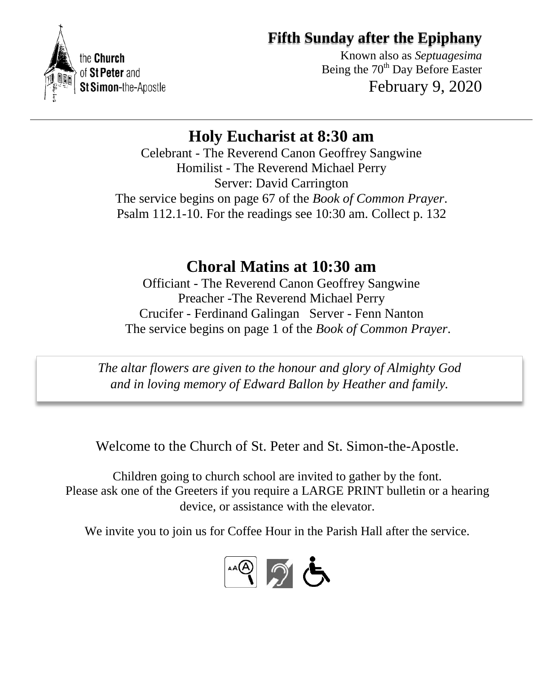# **Fifth Sunday after the Epiphany**



Known also as *Septuagesima* Being the 70<sup>th</sup> Day Before Easter February 9, 2020

# **Holy Eucharist at 8:30 am**

Celebrant - The Reverend Canon Geoffrey Sangwine Homilist - The Reverend Michael Perry Server: David Carrington The service begins on page 67 of the *Book of Common Prayer*. Psalm 112.1-10. For the readings see 10:30 am. Collect p. 132

# **Choral Matins at 10:30 am**

Officiant - The Reverend Canon Geoffrey Sangwine Preacher -The Reverend Michael Perry Crucifer - Ferdinand Galingan Server - Fenn Nanton The service begins on page 1 of the *Book of Common Prayer*.

The altar flowers are given to the honour and glory of Almighty God *and in loving memory of Edward Ballon by Heather and family.*

Welcome to the Church of St. Peter and St. Simon-the-Apostle.

Children going to church school are invited to gather by the font. Please ask one of the Greeters if you require a LARGE PRINT bulletin or a hearing device, or assistance with the elevator.

We invite you to join us for Coffee Hour in the Parish Hall after the service.

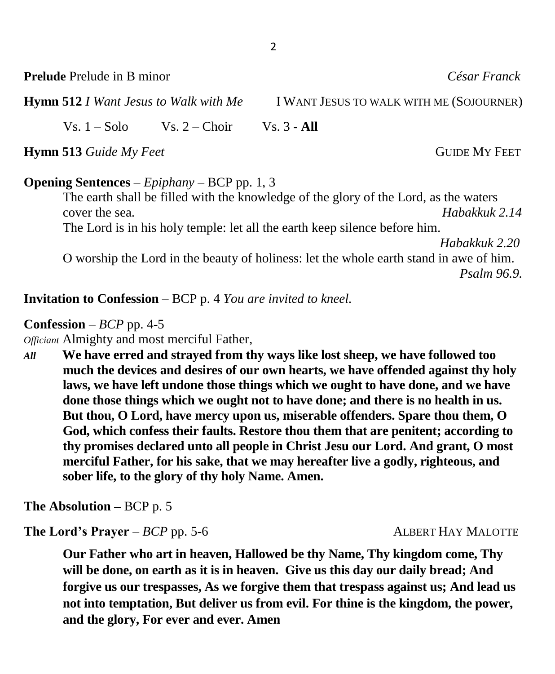**Prelude** Prelude in B minor *César Franck*

**Hymn 512** *I Want Jesus to Walk with Me* I WANT JESUS TO WALK WITH ME (SOJOURNER)

Vs. 1 – Solo Vs. 2 – Choir Vs. 3 - **All**

**Hymn 513** *Guide My Feet* **GUIDE MY FEET** 

### **Opening Sentences** – *Epiphany* – BCP pp. 1, 3

The earth shall be filled with the knowledge of the glory of the Lord, as the waters cover the sea. *Habakkuk 2.14* The Lord is in his holy temple: let all the earth keep silence before him.  *Habakkuk 2.20* O worship the Lord in the beauty of holiness: let the whole earth stand in awe of him. *Psalm 96.9.*

# **Invitation to Confession** – BCP p. 4 *You are invited to kneel.*

### **Confession** – *BCP* pp. 4-5

*Officiant* Almighty and most merciful Father,

*All* **We have erred and strayed from thy ways like lost sheep, we have followed too much the devices and desires of our own hearts, we have offended against thy holy laws, we have left undone those things which we ought to have done, and we have done those things which we ought not to have done; and there is no health in us. But thou, O Lord, have mercy upon us, miserable offenders. Spare thou them, O God, which confess their faults. Restore thou them that are penitent; according to thy promises declared unto all people in Christ Jesu our Lord. And grant, O most merciful Father, for his sake, that we may hereafter live a godly, righteous, and sober life, to the glory of thy holy Name. Amen.**

**The Absolution –** BCP p. 5

**The Lord's Prayer –** *BCP* **pp. 5-6 ALBERT HAY MALOTTE** 

**Our Father who art in heaven, Hallowed be thy Name, Thy kingdom come, Thy will be done, on earth as it is in heaven. Give us this day our daily bread; And forgive us our trespasses, As we forgive them that trespass against us; And lead us not into temptation, But deliver us from evil. For thine is the kingdom, the power, and the glory, For ever and ever. Amen**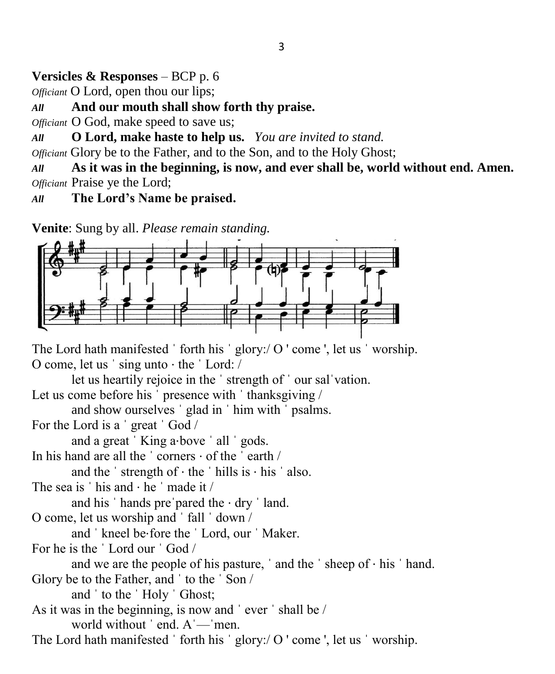# **Versicles & Responses** – BCP p. 6

*Officiant* O Lord, open thou our lips;

*All* **And our mouth shall show forth thy praise.**

*Officiant* O God, make speed to save us;

*All* **O Lord, make haste to help us.** *You are invited to stand.*

*Officiant* Glory be to the Father, and to the Son, and to the Holy Ghost;

*All* **As it was in the beginning, is now, and ever shall be, world without end. Amen.** *Officiant* Praise ye the Lord;

*All* **The Lord's Name be praised.**

**Venite**: Sung by all. *Please remain standing.*



The Lord hath manifested  $\dot{\ }$  forth his  $\dot{\ }$  glory:/ O  $\dot{\ }$  come  $\dot{\ }$ , let us  $\dot{\ }$  worship. O come, let us ˈ sing unto ⋅ the ˈ Lord: /

let us heartily rejoice in the ˈ strength of ˈ our salˈvation. Let us come before his ' presence with ' thanksgiving / and show ourselves ˈ glad in ˈ him with ˈ psalms. For the Lord is a ˈ great ˈ God / and a great 'King a⋅bove ' all ' gods. In his hand are all the  $\cdot$  corners  $\cdot$  of the  $\cdot$  earth  $\prime$ and the  $\cdot$  strength of  $\cdot$  the  $\cdot$  hills is  $\cdot$  his  $\cdot$  also. The sea is  $'$  his and  $\cdot$  he  $'$  made it / and his ˈ hands preˈpared the ⋅ dry ˈ land. O come, let us worship and ˈ fall ˈ down / and ˈ kneel be⋅fore the ˈ Lord, our ˈ Maker. For he is the ˈ Lord our ˈ God / and we are the people of his pasture,  $\dot{\ }$  and the  $\dot{\ }$  sheep of  $\dot{\ }$  his  $\dot{\ }$  hand. Glory be to the Father, and ˈ to the ˈ Son / and ˈ to the ˈ Holy ˈ Ghost; As it was in the beginning, is now and ˈ ever ˈ shall be / world without ' end. A'—'men. The Lord hath manifested ' forth his ' glory:/ O ' come ', let us ' worship.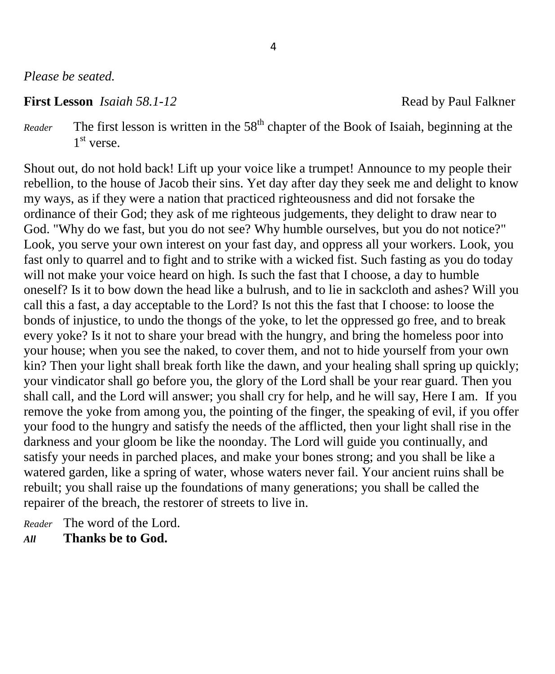#### *Please be seated.*

#### **First Lesson** *Isaiah 58.1-12* Read by Paul Falkner

*Reader* The first lesson is written in the 58<sup>th</sup> chapter of the Book of Isaiah, beginning at the 1<sup>st</sup> verse.

Shout out, do not hold back! Lift up your voice like a trumpet! Announce to my people their rebellion, to the house of Jacob their sins. Yet day after day they seek me and delight to know my ways, as if they were a nation that practiced righteousness and did not forsake the ordinance of their God; they ask of me righteous judgements, they delight to draw near to God. "Why do we fast, but you do not see? Why humble ourselves, but you do not notice?" Look, you serve your own interest on your fast day, and oppress all your workers. Look, you fast only to quarrel and to fight and to strike with a wicked fist. Such fasting as you do today will not make your voice heard on high. Is such the fast that I choose, a day to humble oneself? Is it to bow down the head like a bulrush, and to lie in sackcloth and ashes? Will you call this a fast, a day acceptable to the Lord? Is not this the fast that I choose: to loose the bonds of injustice, to undo the thongs of the yoke, to let the oppressed go free, and to break every yoke? Is it not to share your bread with the hungry, and bring the homeless poor into your house; when you see the naked, to cover them, and not to hide yourself from your own kin? Then your light shall break forth like the dawn, and your healing shall spring up quickly; your vindicator shall go before you, the glory of the Lord shall be your rear guard. Then you shall call, and the Lord will answer; you shall cry for help, and he will say, Here I am. If you remove the yoke from among you, the pointing of the finger, the speaking of evil, if you offer your food to the hungry and satisfy the needs of the afflicted, then your light shall rise in the darkness and your gloom be like the noonday. The Lord will guide you continually, and satisfy your needs in parched places, and make your bones strong; and you shall be like a watered garden, like a spring of water, whose waters never fail. Your ancient ruins shall be rebuilt; you shall raise up the foundations of many generations; you shall be called the repairer of the breach, the restorer of streets to live in.

*Reader* The word of the Lord.

*All* **Thanks be to God.**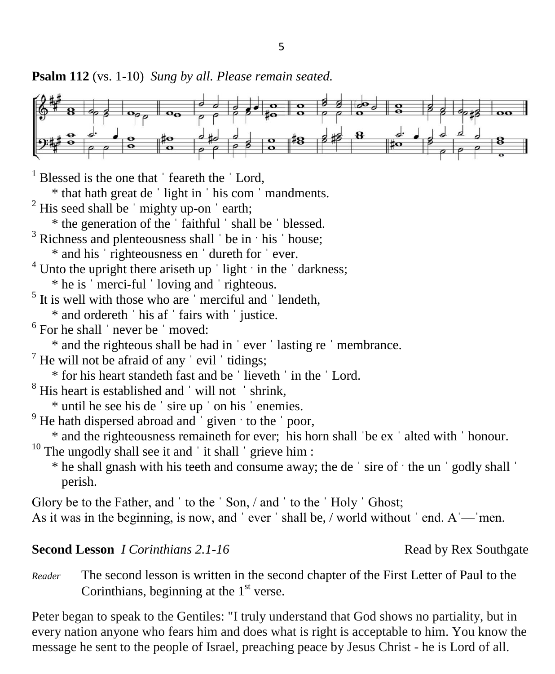Blessed is the one that 'feareth the 'Lord, \* that hath great de ˈ light in ˈ his com ˈ mandments.  $2$  His seed shall be  $\dot{\ }$  mighty up-on  $\dot{\ }$  earth; \* the generation of the ˈ faithful ˈ shall be ˈ blessed.  $3$  Richness and plenteousness shall  $\dot{\ }$  be in  $\dot{\ }$  his  $\dot{\ }$  house; \* and his ˈ righteousness en ˈ dureth for ˈ ever.  $4$  Unto the upright there ariseth up  $\dot{\ }$  light  $\dot{\ }$  in the  $\dot{\ }$  darkness; \* he is ˈ merci-ful ˈ loving and ˈ righteous.  $<sup>5</sup>$  It is well with those who are  $<sup>1</sup>$  merciful and  $<sup>1</sup>$  lendeth,</sup></sup></sup> \* and ordereth ˈ his af ˈ fairs with ˈ justice. <sup>6</sup> For he shall 'never be 'moved: \* and the righteous shall be had in ˈ ever ˈ lasting re ˈ membrance.  $<sup>7</sup>$  He will not be afraid of any  $\degree$  evil  $\degree$  tidings;</sup> \* for his heart standeth fast and be ˈ lieveth ˈ in the ˈ Lord.  $8$  His heart is established and  $\degree$  will not  $\degree$  shrink, \* until he see his de ˈ sire up ˈ on his ˈ enemies.  $9$  He hath dispersed abroad and  $\prime$  given  $\prime$  to the  $\prime$  poor, \* and the righteousness remaineth for ever; his horn shall ˈbe ex ˈ alted with ˈ honour.  $10$  The ungodly shall see it and  $\dot{\ }$  it shall  $\dot{\ }$  grieve him : \* he shall gnash with his teeth and consume away; the de ˈ sire of ˑ the un ˈ godly shall ˈ perish.

Glory be to the Father, and ˈ to the ˈ Son, / and ˈ to the ˈ Holy ˈ Ghost; As it was in the beginning, is now, and 'ever ' shall be, / world without ' end. A'—'men.

# **Second Lesson** *I Corinthians 2.1-16* Read by Rex Southgate

*Reader* The second lesson is written in the second chapter of the First Letter of Paul to the Corinthians, beginning at the  $1<sup>st</sup>$  verse.

Peter began to speak to the Gentiles: "I truly understand that God shows no partiality, but in every nation anyone who fears him and does what is right is acceptable to him. You know the message he sent to the people of Israel, preaching peace by Jesus Christ - he is Lord of all.

## **Psalm 112** (vs. 1-10) *Sung by all. Please remain seated.*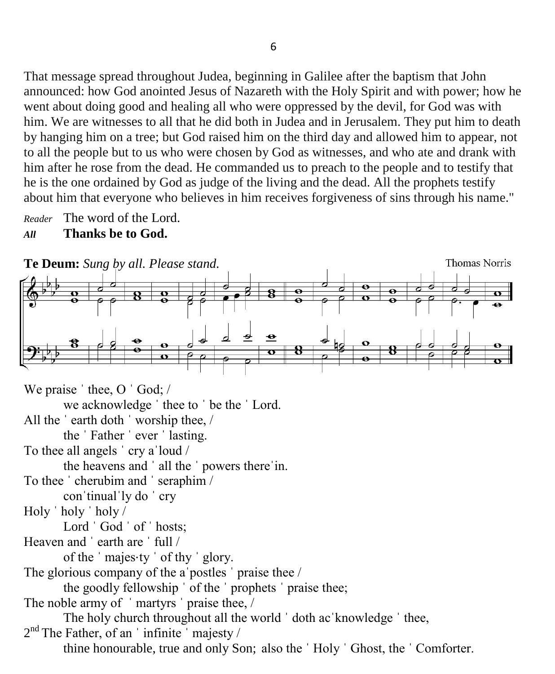That message spread throughout Judea, beginning in Galilee after the baptism that John announced: how God anointed Jesus of Nazareth with the Holy Spirit and with power; how he went about doing good and healing all who were oppressed by the devil, for God was with him. We are witnesses to all that he did both in Judea and in Jerusalem. They put him to death by hanging him on a tree; but God raised him on the third day and allowed him to appear, not to all the people but to us who were chosen by God as witnesses, and who ate and drank with him after he rose from the dead. He commanded us to preach to the people and to testify that he is the one ordained by God as judge of the living and the dead. All the prophets testify about him that everyone who believes in him receives forgiveness of sins through his name."

*Reader* The word of the Lord.

*All* **Thanks be to God.**



We praise ' thee, O ' God; / we acknowledge ˈ thee to ˈ be the ˈ Lord. All the ˈ earth doth ˈ worship thee, / the ˈ Father ˈ ever ˈ lasting. To thee all angels ˈ cry aˈloud / the heavens and ˈ all the ˈ powers thereˈin. To thee ˈ cherubim and ˈ seraphim / conˈtinualˈly do ˈ cry Holy ˈ holy ˈ holy / Lord 'God ' of ' hosts; Heaven and 'earth are 'full / of the ˈ majes⋅ty ˈ of thy ˈ glory. The glorious company of the a postles raise thee / the goodly fellowship ˈ of the ˈ prophets ˈ praise thee; The noble army of 'martyrs' praise thee, / The holy church throughout all the world 'doth ac 'knowledge ' thee,  $2<sup>nd</sup>$  The Father, of an 'infinite' majesty / thine honourable, true and only Son; also the ˈ Holy ˈ Ghost, the ˈ Comforter.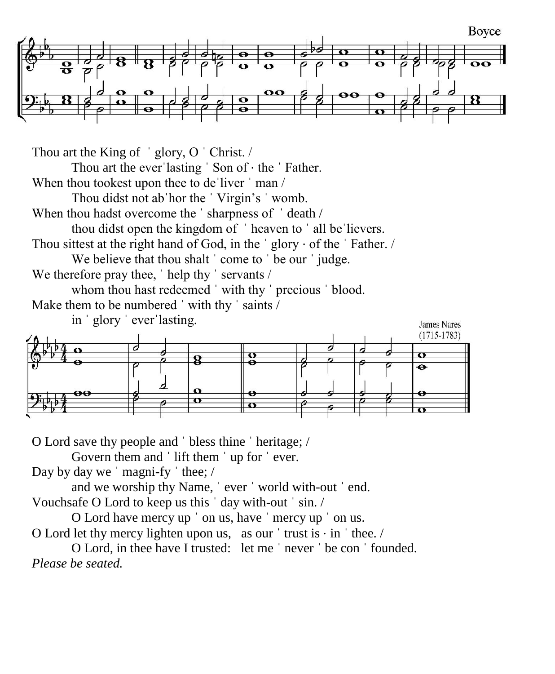

Thou art the King of ' glory, O ' Christ. / Thou art the everˈlasting ˈ Son of ⋅ the ˈ Father. When thou tookest upon thee to de liver  $\cdot$  man / Thou didst not abˈhor the ˈ Virgin's ˈ womb. When thou hadst overcome the 'sharpness of 'death / thou didst open the kingdom of ˈ heaven to ˈ all beˈlievers. Thou sittest at the right hand of God, in the ˈ glory ⋅ of the ˈ Father. / We believe that thou shalt ' come to ' be our ' judge. We therefore pray thee, 'help thy ' servants / whom thou hast redeemed 'with thy ' precious ' blood. Make them to be numbered 'with thy ' saints / in ˈ glory ˈ everˈlasting. **James Nares**  $(1715 - 1783)$  $\sigma$  $\overline{\mathbf{8}}$  $\overline{\mathbf{e}}$  $\mathbf o$  $\sigma$ 

O Lord save thy people and ˈ bless thine ˈ heritage; /

Govern them and 'lift them ' up for ' ever.

Day by day we 'magni-fy ' thee; /

and we worship thy Name, ˈ ever ˈ world with-out ˈ end. Vouchsafe O Lord to keep us this ˈ day with-out ˈ sin. /

O Lord have mercy up ˈ on us, have ˈ mercy up ˈ on us.

O Lord let thy mercy lighten upon us, as our  $'$  trust is  $\cdot$  in  $'$  thee. /

O Lord, in thee have I trusted: let me ˈ never ˈ be con ˈ founded. *Please be seated.*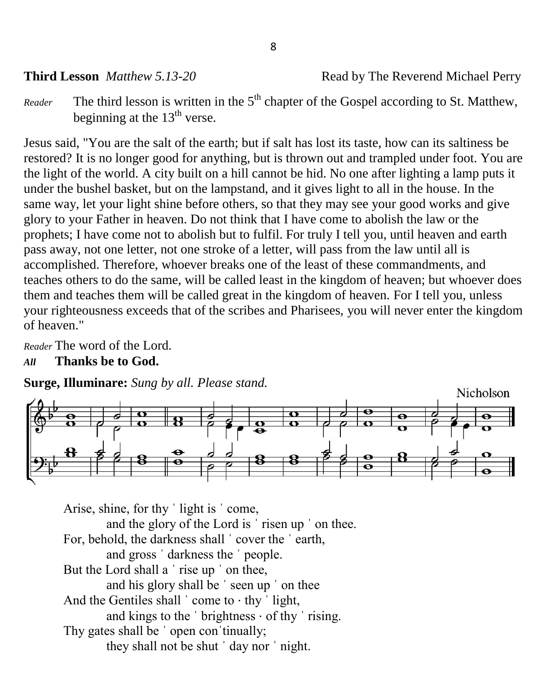## **Third Lesson** *Matthew 5.13-20* **Read by The Reverend Michael Perry**

*Reader* The third lesson is written in the  $5<sup>th</sup>$  chapter of the Gospel according to St. Matthew, beginning at the  $13<sup>th</sup>$  verse.

Jesus said, "You are the salt of the earth; but if salt has lost its taste, how can its saltiness be restored? It is no longer good for anything, but is thrown out and trampled under foot. You are the light of the world. A city built on a hill cannot be hid. No one after lighting a lamp puts it under the bushel basket, but on the lampstand, and it gives light to all in the house. In the same way, let your light shine before others, so that they may see your good works and give glory to your Father in heaven. Do not think that I have come to abolish the law or the prophets; I have come not to abolish but to fulfil. For truly I tell you, until heaven and earth pass away, not one letter, not one stroke of a letter, will pass from the law until all is accomplished. Therefore, whoever breaks one of the least of these commandments, and teaches others to do the same, will be called least in the kingdom of heaven; but whoever does them and teaches them will be called great in the kingdom of heaven. For I tell you, unless your righteousness exceeds that of the scribes and Pharisees, you will never enter the kingdom of heaven."

*Reader* The word of the Lord. *All* **Thanks be to God.**

**Surge, Illuminare:** *Sung by all. Please stand.*



Arise, shine, for thy ˈ light is ˈ come, and the glory of the Lord is ˈ risen up ˈ on thee. For, behold, the darkness shall ' cover the ' earth, and gross ˈ darkness the ˈ people. But the Lord shall a 'rise up ' on thee, and his glory shall be ˈ seen up ˈ on thee And the Gentiles shall  $\cdot$  come to  $\cdot$  thy  $\cdot$  light, and kings to the  $\cdot$  brightness  $\cdot$  of thy  $\cdot$  rising. Thy gates shall be ' open con 'tinually; they shall not be shut ˈ day nor ˈ night.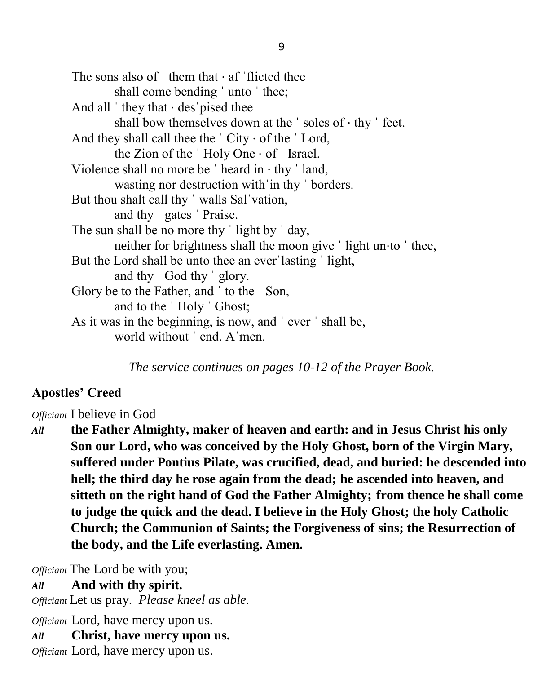The sons also of  $\dot{\ }$  them that  $\cdot$  af  $\dot{\ }$  flicted thee shall come bending ' unto ' thee; And all  $'$  they that  $·$  des pised thee shall bow themselves down at the 'soles of  $\cdot$  thy 'feet. And they shall call thee the  $'$  City  $\cdot$  of the  $'$  Lord, the Zion of the ˈ Holy One ⋅ of ˈ Israel. Violence shall no more be  $\dot{\ }$  heard in  $\cdot$  thy  $\dot{\ }$  land, wasting nor destruction with in thy ' borders. But thou shalt call thy 'walls Sal'vation, and thy ˈ gates ˈ Praise. The sun shall be no more thy 'light by 'day, neither for brightness shall the moon give 'light un⋅to 'thee, But the Lord shall be unto thee an ever lasting 'light, and thy ˈ God thy ˈ glory. Glory be to the Father, and ˈ to the ˈ Son, and to the ˈ Holy ˈ Ghost; As it was in the beginning, is now, and ˈ ever ˈ shall be, world without ˈ end. Aˈmen.

*The service continues on pages 10-12 of the Prayer Book.*

# **Apostles' Creed**

*Officiant* I believe in God

*All* **the Father Almighty, maker of heaven and earth: and in Jesus Christ his only Son our Lord, who was conceived by the Holy Ghost, born of the Virgin Mary, suffered under Pontius Pilate, was crucified, dead, and buried: he descended into hell; the third day he rose again from the dead; he ascended into heaven, and sitteth on the right hand of God the Father Almighty; from thence he shall come to judge the quick and the dead. I believe in the Holy Ghost; the holy Catholic Church; the Communion of Saints; the Forgiveness of sins; the Resurrection of the body, and the Life everlasting. Amen.**

*Officiant* The Lord be with you;

# *All* **And with thy spirit.**

*Officiant* Let us pray. *Please kneel as able.*

*Officiant* Lord, have mercy upon us.

# *All* **Christ, have mercy upon us.**

*Officiant* Lord, have mercy upon us.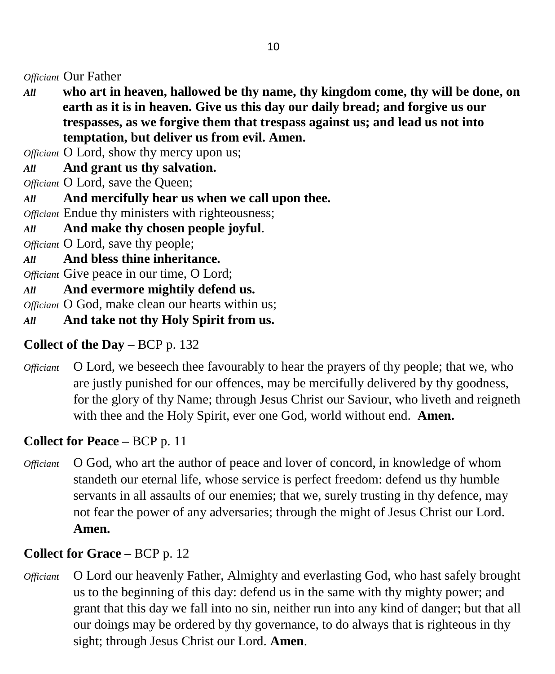*Officiant* Our Father

*All* **who art in heaven, hallowed be thy name, thy kingdom come, thy will be done, on earth as it is in heaven. Give us this day our daily bread; and forgive us our trespasses, as we forgive them that trespass against us; and lead us not into temptation, but deliver us from evil. Amen.**

*Officiant* O Lord, show thy mercy upon us;

- *All* **And grant us thy salvation.**
- *Officiant* O Lord, save the Queen;

*All* **And mercifully hear us when we call upon thee.**

*Officiant* Endue thy ministers with righteousness;

*All* **And make thy chosen people joyful**.

*Officiant* O Lord, save thy people;

*All* **And bless thine inheritance.**

*Officiant* Give peace in our time, O Lord;

*All* **And evermore mightily defend us.**

*Officiant* O God, make clean our hearts within us;

*All* **And take not thy Holy Spirit from us.**

# **Collect of the Day –** BCP p. 132

*Officiant* O Lord, we beseech thee favourably to hear the prayers of thy people; that we, who are justly punished for our offences, may be mercifully delivered by thy goodness, for the glory of thy Name; through Jesus Christ our Saviour, who liveth and reigneth with thee and the Holy Spirit, ever one God, world without end. **Amen.**

# **Collect for Peace –** BCP p. 11

*Officiant* O God, who art the author of peace and lover of concord, in knowledge of whom standeth our eternal life, whose service is perfect freedom: defend us thy humble servants in all assaults of our enemies; that we, surely trusting in thy defence, may not fear the power of any adversaries; through the might of Jesus Christ our Lord. **Amen.**

# **Collect for Grace –** BCP p. 12

*Officiant* O Lord our heavenly Father, Almighty and everlasting God, who hast safely brought us to the beginning of this day: defend us in the same with thy mighty power; and grant that this day we fall into no sin, neither run into any kind of danger; but that all our doings may be ordered by thy governance, to do always that is righteous in thy sight; through Jesus Christ our Lord. **Amen**.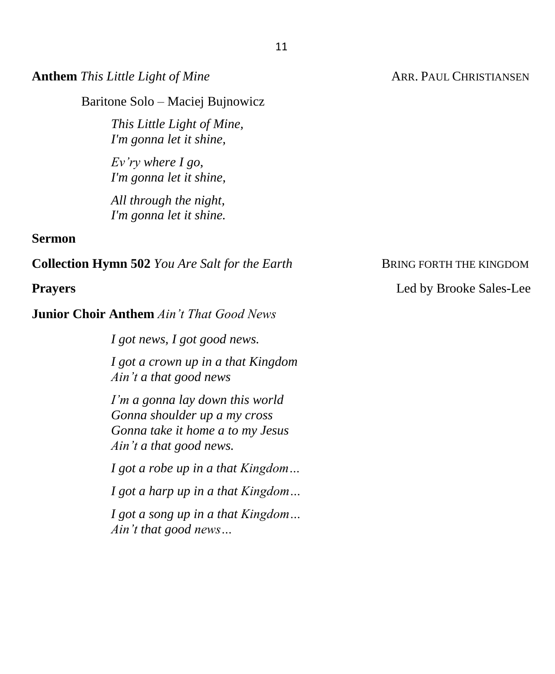### **Anthem** *This Little Light of Mine* **ARR. PAUL CHRISTIANSEN**

Baritone Solo – Maciej Bujnowicz

*This Little Light of Mine, I'm gonna let it shine,*

*Ev'ry where I go, I'm gonna let it shine,*

*All through the night, I'm gonna let it shine.*

#### **Sermon**

**Collection Hymn 502** *You Are Salt for the Earth* **BRING FORTH THE KINGDOM** 

**Junior Choir Anthem** *Ain't That Good News*

*I got news, I got good news.*

*I got a crown up in a that Kingdom Ain't a that good news*

*I'm a gonna lay down this world Gonna shoulder up a my cross Gonna take it home a to my Jesus Ain't a that good news.*

*I got a robe up in a that Kingdom…*

*I got a harp up in a that Kingdom…*

*I got a song up in a that Kingdom… Ain't that good news…*

## **Prayers** Led by Brooke Sales-Lee